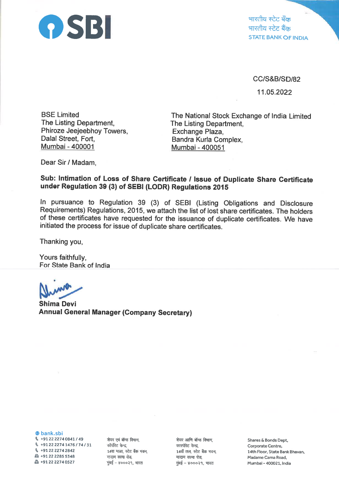

भारतीय स्टेट बँक भारतीय स्टेट बैंक<br>STATE BANK OF INDIA

cc/s&B/sD/82

11.05.2022

BSE Limited The Listing Department, Phiroze Jeejeebhoy Towers, Dalal Street, Fort, Mumbai- 400001

The National Stock Exchange of lndia Limited The Listing Department, Exchange Plaza, Bandra Kurla Complex, Mumbai - 400051

Dear Sir / Madam,

## Sub: Intimation of Loss of Share Certificate / Issue of Duplicate Share Certificate under Regulation 39 (3) of SEBI (LODR) Regulations 2015

ln pursuance to Regulation 39 (3) of SEBI (Listing Obligations and Disclosure Requirements) Regulations, 2015, we attach the list of lost share certificates. The holders of these certificates have requested for the issuance of duplicate certificates. We have initiated the process for issue of duplicate share certificates.

Thanking you,

Yours faithfully, For State Bank of lndia

I

Shima Devi Annual General Manager (Company Secretary)

@ bank.sbi

 $\frac{1}{2}$  +91 22 2274 0841 / 49  $\%$  +91 22 2274 1476 / 74 / 31 \ +912222742842  $\text{A}$  +91 22 2285 5348  $\Delta$  +91 22 2274 0527

शेयर एवं बॉन्ड विभाग, कॉर्पोरेट केन्द्र, 14वा माळा, स्टेट बँक भवन, मादाम कामा रोड, मुंबई – ४०००२१, भारत

शेयर आणि बॉन्ड विभाग, कारपोरेट केन्द्र, 14वॉ तल, स्टेट बैंक भवन, मादाम कामा रोड, मुंबई – ४०००२१, भारत

Shares & Bonds Dept, Corporate Centre, 14th Floor, State Bank Bhavan, MadameCama Road, Mumbal - 40OO21, lndia